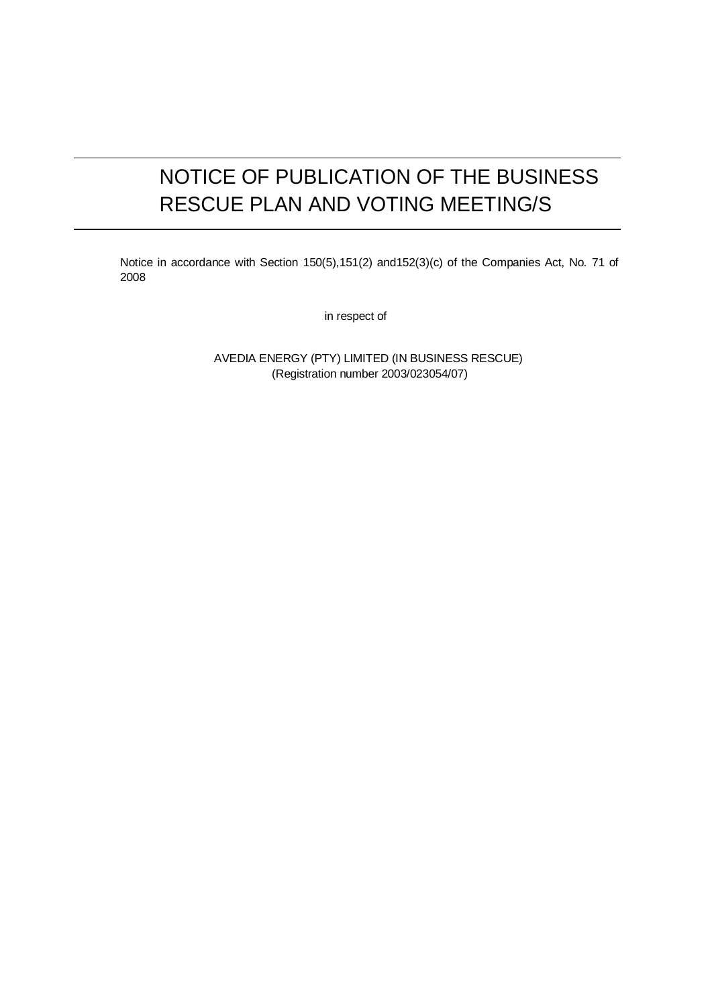# NOTICE OF PUBLICATION OF THE BUSINESS RESCUE PLAN AND VOTING MEETING/S

Notice in accordance with Section 150(5),151(2) and152(3)(c) of the Companies Act, No. 71 of 2008

in respect of

AVEDIA ENERGY (PTY) LIMITED (IN BUSINESS RESCUE) (Registration number 2003/023054/07)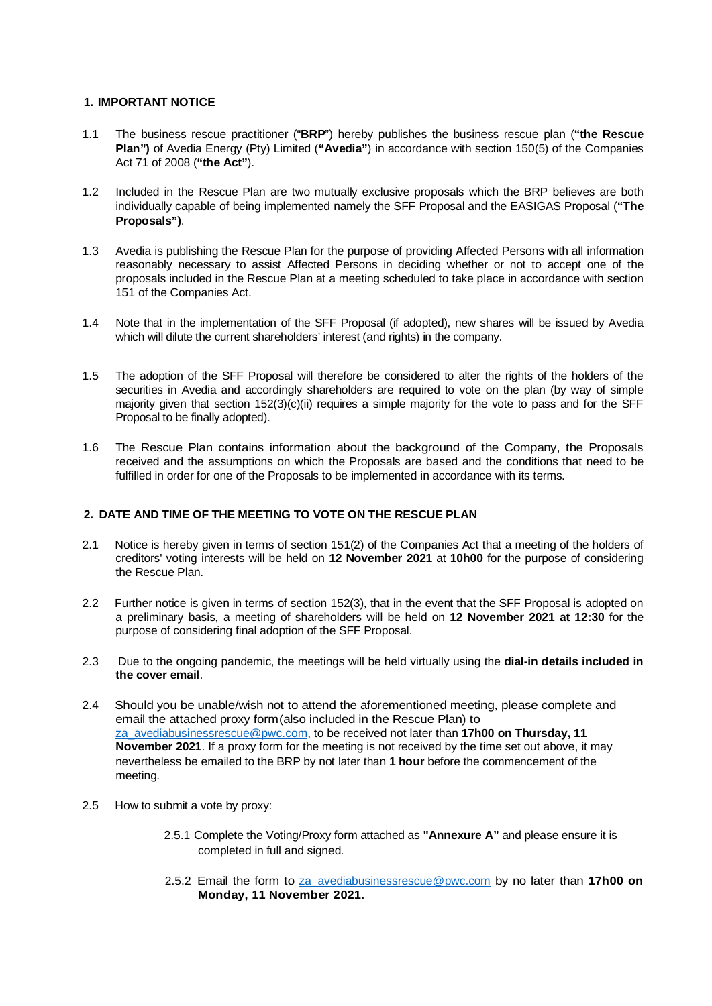## **1. IMPORTANT NOTICE**

- 1.1 The business rescue practitioner ("**BRP**") hereby publishes the business rescue plan (**"the Rescue Plan")** of Avedia Energy (Pty) Limited (**"Avedia"**) in accordance with section 150(5) of the Companies Act 71 of 2008 (**"the Act"**).
- 1.2 Included in the Rescue Plan are two mutually exclusive proposals which the BRP believes are both individually capable of being implemented namely the SFF Proposal and the EASIGAS Proposal (**"The Proposals")**.
- 1.3 Avedia is publishing the Rescue Plan for the purpose of providing Affected Persons with all information reasonably necessary to assist Affected Persons in deciding whether or not to accept one of the proposals included in the Rescue Plan at a meeting scheduled to take place in accordance with section 151 of the Companies Act.
- 1.4 Note that in the implementation of the SFF Proposal (if adopted), new shares will be issued by Avedia which will dilute the current shareholders' interest (and rights) in the company.
- 1.5 The adoption of the SFF Proposal will therefore be considered to alter the rights of the holders of the securities in Avedia and accordingly shareholders are required to vote on the plan (by way of simple majority given that section 152(3)(c)(ii) requires a simple majority for the vote to pass and for the SFF Proposal to be finally adopted).
- 1.6 The Rescue Plan contains information about the background of the Company, the Proposals received and the assumptions on which the Proposals are based and the conditions that need to be fulfilled in order for one of the Proposals to be implemented in accordance with its terms.

# **2. DATE AND TIME OF THE MEETING TO VOTE ON THE RESCUE PLAN**

- 2.1 Notice is hereby given in terms of section 151(2) of the Companies Act that a meeting of the holders of creditors' voting interests will be held on **12 November 2021** at **10h00** for the purpose of considering the Rescue Plan.
- 2.2 Further notice is given in terms of section 152(3), that in the event that the SFF Proposal is adopted on a preliminary basis, a meeting of shareholders will be held on **12 November 2021 at 12:30** for the purpose of considering final adoption of the SFF Proposal.
- 2.3 Due to the ongoing pandemic, the meetings will be held virtually using the **dial-in details included in the cover email**.
- 2.4 Should you be unable/wish not to attend the aforementioned meeting, please complete and email the attached proxy form (also included in the Rescue Plan) to za\_avediabusinessrescue@pwc.com, to be received not later than **17h00 on Thursday, 11 November 2021**. If a proxy form for the meeting is not received by the time set out above, it may nevertheless be emailed to the BRP by not later than **1 hour** before the commencement of the meeting.
- 2.5 How to submit a vote by proxy:
	- 2.5.1 Complete the Voting/Proxy form attached as **"Annexure A"** and please ensure it is completed in full and signed.
	- 2.5.2 Email the form to za\_avediabusinessrescue@pwc.com by no later than **17h00 on Monday, 11 November 2021.**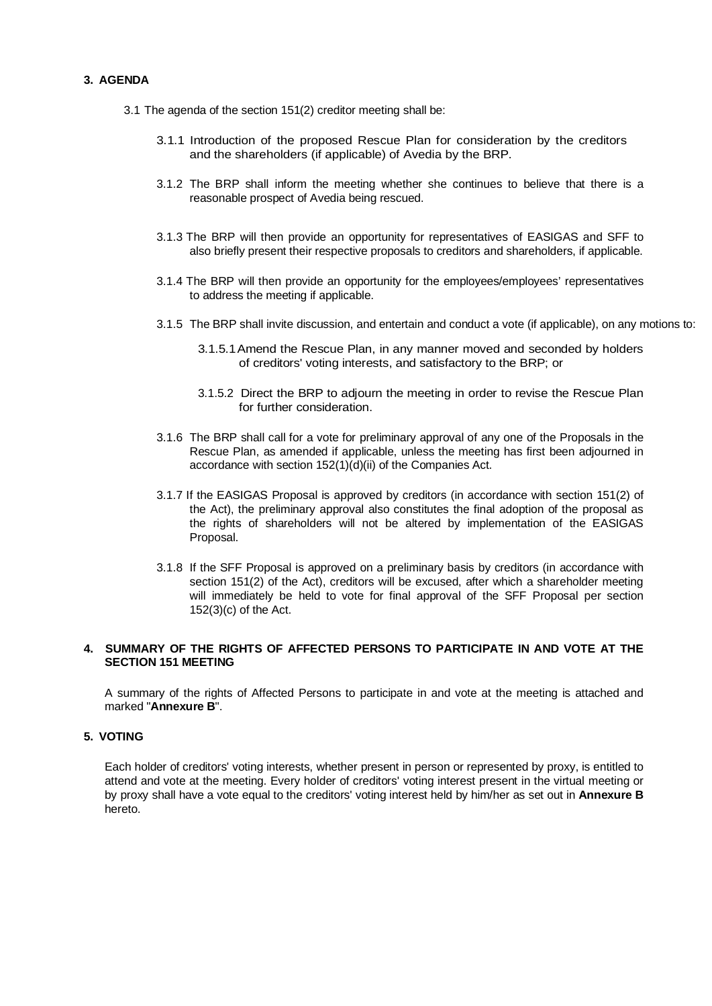## **3. AGENDA**

- 3.1 The agenda of the section 151(2) creditor meeting shall be:
	- 3.1.1 Introduction of the proposed Rescue Plan for consideration by the creditors and the shareholders (if applicable) of Avedia by the BRP.
	- 3.1.2 The BRP shall inform the meeting whether she continues to believe that there is a reasonable prospect of Avedia being rescued.
	- 3.1.3 The BRP will then provide an opportunity for representatives of EASIGAS and SFF to also briefly present their respective proposals to creditors and shareholders, if applicable.
	- 3.1.4 The BRP will then provide an opportunity for the employees/employees' representatives to address the meeting if applicable.
	- 3.1.5 The BRP shall invite discussion, and entertain and conduct a vote (if applicable), on any motions to:
		- 3.1.5.1 Amend the Rescue Plan, in any manner moved and seconded by holders of creditors' voting interests, and satisfactory to the BRP; or
		- 3.1.5.2 Direct the BRP to adjourn the meeting in order to revise the Rescue Plan for further consideration.
	- 3.1.6 The BRP shall call for a vote for preliminary approval of any one of the Proposals in the Rescue Plan, as amended if applicable, unless the meeting has first been adjourned in accordance with section 152(1)(d)(ii) of the Companies Act.
	- 3.1.7 If the EASIGAS Proposal is approved by creditors (in accordance with section 151(2) of the Act), the preliminary approval also constitutes the final adoption of the proposal as the rights of shareholders will not be altered by implementation of the EASIGAS Proposal.
	- 3.1.8 If the SFF Proposal is approved on a preliminary basis by creditors (in accordance with section 151(2) of the Act), creditors will be excused, after which a shareholder meeting will immediately be held to vote for final approval of the SFF Proposal per section 152(3)(c) of the Act.

# **4. SUMMARY OF THE RIGHTS OF AFFECTED PERSONS TO PARTICIPATE IN AND VOTE AT THE SECTION 151 MEETING**

A summary of the rights of Affected Persons to participate in and vote at the meeting is attached and marked "**Annexure B**".

# **5. VOTING**

Each holder of creditors' voting interests, whether present in person or represented by proxy, is entitled to attend and vote at the meeting. Every holder of creditors' voting interest present in the virtual meeting or by proxy shall have a vote equal to the creditors' voting interest held by him/her as set out in **Annexure B** hereto.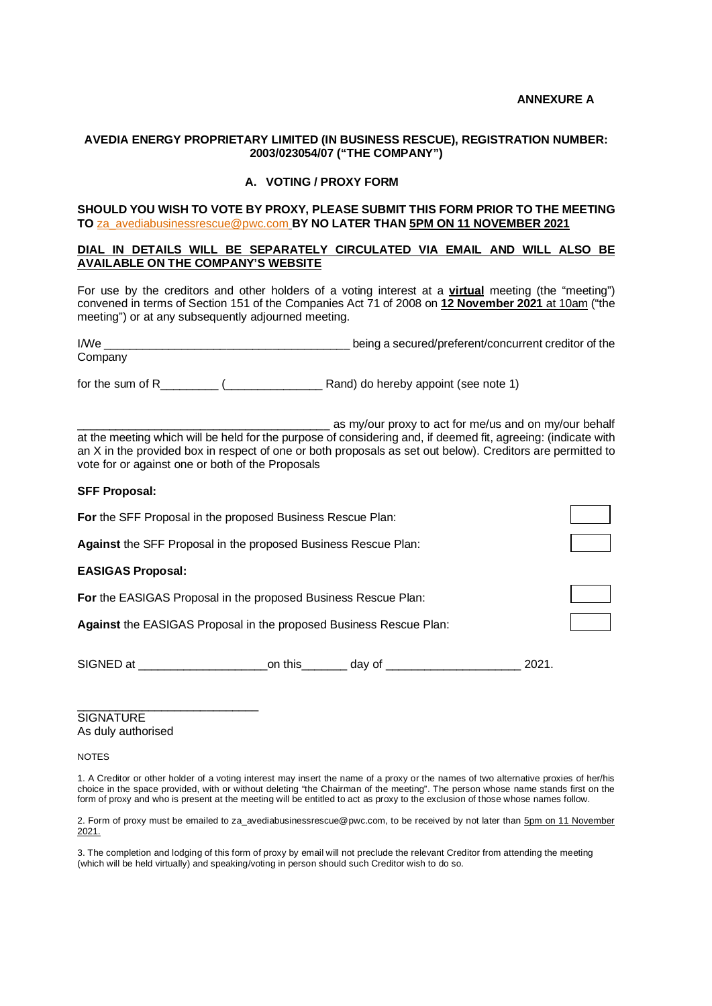#### **ANNEXURE A**

## **AVEDIA ENERGY PROPRIETARY LIMITED (IN BUSINESS RESCUE), REGISTRATION NUMBER: 2003/023054/07 ("THE COMPANY")**

#### **A. VOTING / PROXY FORM**

#### **SHOULD YOU WISH TO VOTE BY PROXY, PLEASE SUBMIT THIS FORM PRIOR TO THE MEETING TO** za\_avediabusinessrescue@pwc.com **BY NO LATER THAN 5PM ON 11 NOVEMBER 2021**

#### **DIAL IN DETAILS WILL BE SEPARATELY CIRCULATED VIA EMAIL AND WILL ALSO BE AVAILABLE ON THE COMPANY'S WEBSITE**

For use by the creditors and other holders of a voting interest at a **virtual** meeting (the "meeting") convened in terms of Section 151 of the Companies Act 71 of 2008 on **12 November 2021** at 10am ("the meeting") or at any subsequently adjourned meeting.

I/We \_\_\_\_\_\_\_\_\_\_\_\_\_\_\_\_\_\_\_\_\_\_\_\_\_\_\_\_\_\_\_\_\_\_\_\_\_\_ being a secured/preferent/concurrent creditor of the Company

for the sum of R\_\_\_\_\_\_\_\_\_ (\_\_\_\_\_\_\_\_\_\_\_\_\_\_\_ Rand) do hereby appoint (see note 1)

 $\frac{1}{2}$  as my/our proxy to act for me/us and on my/our behalf at the meeting which will be held for the purpose of considering and, if deemed fit, agreeing: (indicate with an X in the provided box in respect of one or both proposals as set out below). Creditors are permitted to vote for or against one or both of the Proposals

## **SFF Proposal:**

| For the SFF Proposal in the proposed Business Rescue Plan:            |  |
|-----------------------------------------------------------------------|--|
| Against the SFF Proposal in the proposed Business Rescue Plan:        |  |
| <b>EASIGAS Proposal:</b>                                              |  |
| <b>For</b> the EASIGAS Proposal in the proposed Business Rescue Plan: |  |
| Against the EASIGAS Proposal in the proposed Business Rescue Plan:    |  |
|                                                                       |  |

SIGNED at \_\_\_\_\_\_\_\_\_\_\_\_\_\_\_\_\_\_\_\_on this\_\_\_\_\_\_\_ day of \_\_\_\_\_\_\_\_\_\_\_\_\_\_\_\_\_\_\_\_\_ 2021.

**SIGNATURE** As duly authorised

\_\_\_\_\_\_\_\_\_\_\_\_\_\_\_\_\_\_\_\_\_\_\_\_\_\_\_\_

NOTES

1. A Creditor or other holder of a voting interest may insert the name of a proxy or the names of two alternative proxies of her/his choice in the space provided, with or without deleting "the Chairman of the meeting". The person whose name stands first on the form of proxy and who is present at the meeting will be entitled to act as proxy to the exclusion of those whose names follow.

2. Form of proxy must be emailed to za avediabusinessrescue@pwc.com, to be received by not later than 5pm on 11 November 2021.

3. The completion and lodging of this form of proxy by email will not preclude the relevant Creditor from attending the meeting (which will be held virtually) and speaking/voting in person should such Creditor wish to do so.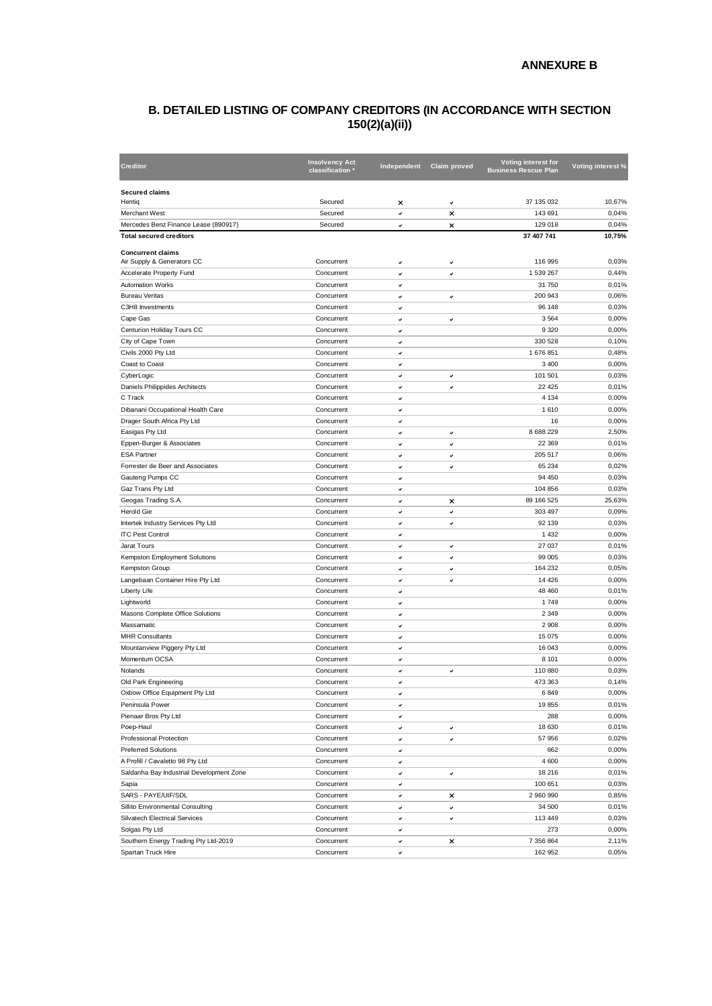# **B. DETAILED LISTING OF COMPANY CREDITORS (IN ACCORDANCE WITH SECTION 150(2)(a)(ii))**

| <b>Creditor</b>                              | <b>Insolvency Act</b><br>classification | Independent | Claim proved | Voting interest for<br><b>Business Rescue Plan</b> | Voting interest % |
|----------------------------------------------|-----------------------------------------|-------------|--------------|----------------------------------------------------|-------------------|
| <b>Secured claims</b><br>Hentig              | Secured                                 | ×           | ٠            | 37 135 032                                         | 10,67%            |
| <b>Merchant West</b>                         | Secured                                 | v           | ×            | 143 691                                            | 0,04%             |
| Mercedes Benz Finance Lease (890917)         | Secured                                 | ۰           | ×            | 129 018                                            | 0,04%             |
| <b>Total secured creditors</b>               |                                         |             |              | 37 407 741                                         | 10,75%            |
|                                              |                                         |             |              |                                                    |                   |
| <b>Concurrent claims</b>                     |                                         |             |              |                                                    |                   |
| Air Supply & Generators CC                   | Concurrent                              | v           | v            | 116 995                                            | 0,03%             |
| Accelerate Property Fund                     | Concurrent                              | v           | v            | 1 539 267                                          | 0,44%             |
| <b>Automation Works</b>                      | Concurrent                              | v           |              | 31 750                                             | 0,01%             |
| <b>Bureau Veritas</b>                        | Concurrent                              | v           | ٠            | 200 943                                            | 0,06%             |
| C3H8 Investments                             | Concurrent                              | v           |              | 96 148                                             | 0,03%             |
| Cape Gas                                     | Concurrent                              | v           | v            | 3 5 6 4                                            | 0,00%             |
| Centurion Holiday Tours CC                   | Concurrent                              | v           |              | 9 3 2 0                                            | 0,00%             |
| City of Cape Town                            | Concurrent                              | v           |              | 330 528                                            | 0,10%             |
| Civils 2000 Pty Ltd                          | Concurrent                              | v           |              | 1676851                                            | 0,48%             |
| Coast to Coast                               | Concurrent                              | v           |              | 3 4 0 0                                            | 0,00%             |
| CyberLogic                                   | Concurrent                              | v           | $\checkmark$ | 101 501                                            | 0,03%             |
| Daniels Philippides Architects               | Concurrent                              | v           | v            | 22 4 25                                            | 0,01%             |
| C Track                                      | Concurrent                              | v           |              | 4 1 3 4                                            | 0,00%             |
| Dibanani Occupational Health Care            | Concurrent                              | v           |              | 1610                                               | 0,00%             |
| Drager South Africa Pty Ltd                  | Concurrent                              | v           |              | 16                                                 | 0,00%             |
| Easigas Pty Ltd                              | Concurrent                              | v           | v            | 8 6 8 2 2 2 9                                      | 2,50%             |
| Eppen-Burger & Associates                    | Concurrent                              | v           | v            | 22 369                                             | 0,01%             |
| <b>ESA Partner</b>                           | Concurrent                              | v           | ٠            | 205 517                                            | 0,06%             |
| Forrester de Beer and Associates             | Concurrent                              | v           | ٠            | 65 234                                             | 0,02%             |
| Gauteng Pumps CC                             | Concurrent                              | v           |              | 94 450                                             | 0,03%             |
| Gaz Trans Pty Ltd                            | Concurrent                              | v           |              | 104 856                                            | 0,03%             |
| Geogas Trading S.A.                          | Concurrent                              | v           | ×            | 89 166 525                                         | 25,63%            |
| <b>Herold Gie</b>                            | Concurrent                              | v           | $\checkmark$ | 303 497                                            | 0,09%             |
| Intertek Industry Services Pty Ltd           | Concurrent                              | v           | ٠            | 92 139                                             | 0,03%             |
| <b>ITC Pest Control</b>                      | Concurrent                              | v           |              | 1 4 3 2                                            | 0,00%             |
| Jarat Tours                                  | Concurrent                              | v           | $\checkmark$ | 27 037                                             | 0,01%             |
| Kempston Employment Solutions                | Concurrent                              | v           | ٠            | 99 005                                             | 0,03%             |
| Kempston Group                               | Concurrent                              | v           | ٠            | 164 232                                            | 0,05%             |
| Langebaan Container Hire Pty Ltd             | Concurrent                              | v           | v            | 14 4 26                                            | 0,00%             |
| Liberty Life                                 | Concurrent                              | v           |              | 48 460                                             | 0,01%             |
| Lightworld                                   | Concurrent                              | v           |              | 1749                                               | 0,00%             |
| Masons Complete Office Solutions             | Concurrent                              | v           |              | 2 3 4 9                                            | 0,00%             |
| Massamatic                                   | Concurrent                              |             |              | 2 9 0 8                                            | 0,00%             |
| <b>MHR Consultants</b>                       | Concurrent                              | v           |              | 15 075                                             | 0,00%             |
|                                              | Concurrent                              | v           |              |                                                    | 0,00%             |
| Mountanview Piggery Pty Ltd<br>Momentum OCSA |                                         | v           |              | 16 043                                             |                   |
|                                              | Concurrent                              | v           |              | 8 1 0 1                                            | 0,00%             |
| Nolands                                      | Concurrent                              | v           | ٠            | 110 880                                            | 0,03%             |
| Old Park Engineering                         | Concurrent                              | v           |              | 473 363                                            | 0.14%             |
| Oxbow Office Equipment Pty Ltd               | Concurrent                              | v           |              | 6849                                               | 0,00%             |
| Peninsula Power                              | Concurrent                              | v           |              | 19855                                              | 0,01%             |
| Pienaar Bros Pty Ltd                         | Concurrent                              | v           |              | 288                                                | 0,00%             |
| Poep-Haul                                    | Concurrent                              | ٠           | ٠            | 18 630                                             | 0,01%             |
| Professional Protection                      | Concurrent                              | v           | ٠            | 57 956                                             | 0,02%             |
| <b>Preferred Solutions</b>                   | Concurrent                              | v           |              | 662                                                | 0,00%             |
| A Profill / Cavaletto 98 Pty Ltd             | Concurrent                              | v           |              | 4 600                                              | 0,00%             |
| Saldanha Bay Industrial Development Zone     | Concurrent                              | v           | v            | 18 216                                             | 0,01%             |
| Sapia                                        | Concurrent                              | ٠           |              | 100 651                                            | 0,03%             |
| SARS - PAYE/UIF/SDL                          | Concurrent                              | v           | ×            | 2 960 990                                          | 0,85%             |
| Sillito Environmental Consulting             | Concurrent                              | v           | ✓            | 34 500                                             | 0,01%             |
| <b>Silvatech Electrical Services</b>         | Concurrent                              | v           | $\checkmark$ | 113 449                                            | 0,03%             |
| Solgas Pty Ltd                               | Concurrent                              | v           |              | 273                                                | 0,00%             |
| Southern Energy Trading Pty Ltd-2019         | Concurrent                              | v           | ×            | 7 356 864                                          | 2,11%             |
| Spartan Truck Hire                           | Concurrent                              | v           |              | 162 952                                            | 0,05%             |